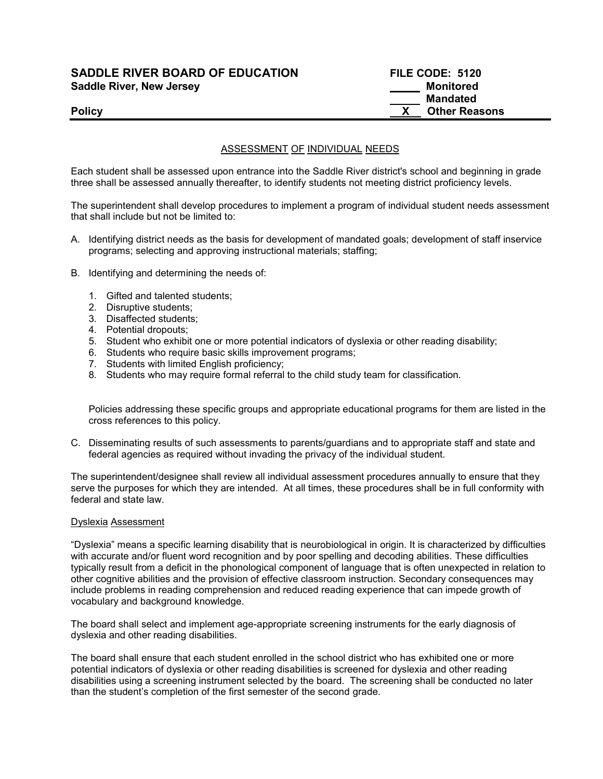## SADDLE RIVER BOARD OF EDUCATION FILE CODE: 5120 Saddle River, New Jersey Monitored

# Mandated Policy **Example 2018 CONSERVING 2018 CONSERVING 2019 12:30 THE REASONS**

### ASSESSMENT OF INDIVIDUAL NEEDS

Each student shall be assessed upon entrance into the Saddle River district's school and beginning in grade three shall be assessed annually thereafter, to identify students not meeting district proficiency levels.

The superintendent shall develop procedures to implement a program of individual student needs assessment that shall include but not be limited to:

- A. Identifying district needs as the basis for development of mandated goals; development of staff inservice programs; selecting and approving instructional materials; staffing;
- B. Identifying and determining the needs of:
	- 1. Gifted and talented students;
	- 2. Disruptive students;
	- 3. Disaffected students;
	- 4. Potential dropouts;
	- 5. Student who exhibit one or more potential indicators of dyslexia or other reading disability;
	- 6. Students who require basic skills improvement programs;
	- 7. Students with limited English proficiency;
	- 8. Students who may require formal referral to the child study team for classification.

Policies addressing these specific groups and appropriate educational programs for them are listed in the cross references to this policy.

C. Disseminating results of such assessments to parents/guardians and to appropriate staff and state and federal agencies as required without invading the privacy of the individual student.

The superintendent/designee shall review all individual assessment procedures annually to ensure that they serve the purposes for which they are intended. At all times, these procedures shall be in full conformity with federal and state law.

#### Dyslexia Assessment

"Dyslexia" means a specific learning disability that is neurobiological in origin. It is characterized by difficulties with accurate and/or fluent word recognition and by poor spelling and decoding abilities. These difficulties typically result from a deficit in the phonological component of language that is often unexpected in relation to other cognitive abilities and the provision of effective classroom instruction. Secondary consequences may include problems in reading comprehension and reduced reading experience that can impede growth of vocabulary and background knowledge.

The board shall select and implement age-appropriate screening instruments for the early diagnosis of dyslexia and other reading disabilities.

The board shall ensure that each student enrolled in the school district who has exhibited one or more potential indicators of dyslexia or other reading disabilities is screened for dyslexia and other reading disabilities using a screening instrument selected by the board. The screening shall be conducted no later than the student's completion of the first semester of the second grade.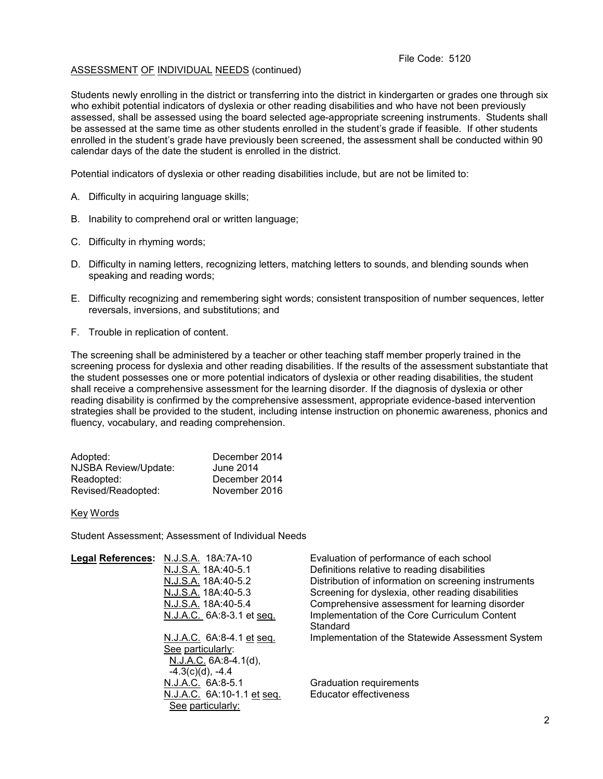### ASSESSMENT OF INDIVIDUAL NEEDS (continued)

Students newly enrolling in the district or transferring into the district in kindergarten or grades one through six who exhibit potential indicators of dyslexia or other reading disabilities and who have not been previously assessed, shall be assessed using the board selected age-appropriate screening instruments. Students shall be assessed at the same time as other students enrolled in the student's grade if feasible. If other students enrolled in the student's grade have previously been screened, the assessment shall be conducted within 90 calendar days of the date the student is enrolled in the district.

Potential indicators of dyslexia or other reading disabilities include, but are not be limited to:

- A. Difficulty in acquiring language skills;
- B. Inability to comprehend oral or written language;
- C. Difficulty in rhyming words;
- D. Difficulty in naming letters, recognizing letters, matching letters to sounds, and blending sounds when speaking and reading words;
- E. Difficulty recognizing and remembering sight words; consistent transposition of number sequences, letter reversals, inversions, and substitutions; and
- F. Trouble in replication of content.

The screening shall be administered by a teacher or other teaching staff member properly trained in the screening process for dyslexia and other reading disabilities. If the results of the assessment substantiate that the student possesses one or more potential indicators of dyslexia or other reading disabilities, the student shall receive a comprehensive assessment for the learning disorder. If the diagnosis of dyslexia or other reading disability is confirmed by the comprehensive assessment, appropriate evidence-based intervention strategies shall be provided to the student, including intense instruction on phonemic awareness, phonics and fluency, vocabulary, and reading comprehension.

| Adopted:             | December 2014 |
|----------------------|---------------|
| NJSBA Review/Update: | June 2014     |
| Readopted:           | December 2014 |
| Revised/Readopted:   | November 2016 |

#### Key Words

Student Assessment; Assessment of Individual Needs

| Legal References: N.J.S.A. 18A:7A-10 | Evaluation of performance of each school             |
|--------------------------------------|------------------------------------------------------|
| N.J.S.A. 18A:40-5.1                  | Definitions relative to reading disabilities         |
| N.J.S.A. 18A:40-5.2                  | Distribution of information on screening instruments |
| N.J.S.A. 18A:40-5.3                  | Screening for dyslexia, other reading disabilities   |
| N.J.S.A. 18A:40-5.4                  | Comprehensive assessment for learning disorder       |
| N.J.A.C. 6A:8-3.1 et seq.            | Implementation of the Core Curriculum Content        |
|                                      | Standard                                             |
| N.J.A.C. 6A:8-4.1 et seq.            | Implementation of the Statewide Assessment System    |
| See particularly:                    |                                                      |
| $N.J.A.C. 6A:8-4.1(d),$              |                                                      |
| $-4.3(c)(d)$ , $-4.4$                |                                                      |
| N.J.A.C. 6A:8-5.1                    | Graduation requirements                              |
| N.J.A.C. 6A:10-1.1 et seq.           | <b>Educator effectiveness</b>                        |
| See particularly:                    |                                                      |
|                                      |                                                      |